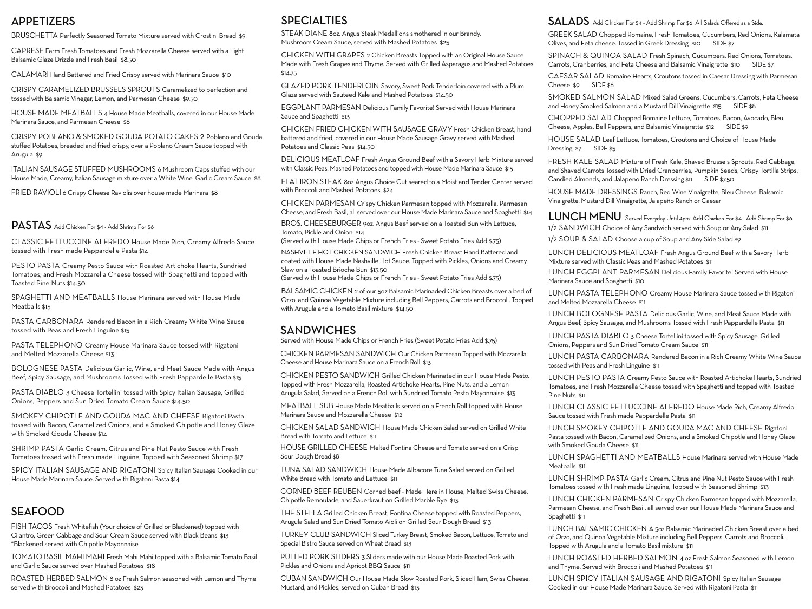### APPETIZERS

BRUSCHETTA Perfectly Seasoned Tomato Mixture served with Crostini Bread \$9

CAPRESE Farm Fresh Tomatoes and Fresh Mozzarella Cheese served with a Light Balsamic Glaze Drizzle and Fresh Basil \$8.50

CALAMARI Hand Battered and Fried Crispy served with Marinara Sauce \$10

CRISPY CARAMELIZED BRUSSELS SPROUTS Caramelized to perfection and tossed with Balsamic Vinegar, Lemon, and Parmesan Cheese \$9.50

HOUSE MADE MEATBALLS 4 House Made Meatballs, covered in our House Made Marinara Sauce, and Parmesan Cheese \$6

CRISPY POBLANO & SMOKED GOUDA POTATO CAKES 2 Poblano and Gouda stuffed Potatoes, breaded and fried crispy, over a Poblano Cream Sauce topped with Arugula \$9

ITALIAN SAUSAGE STUFFED MUSHROOMS 6 Mushroom Caps stuffed with our House Made, Creamy, Italian Sausage mixture over a White Wine, Garlic Cream Sauce \$8

FRIED RAVIOLI 6 Crispy Cheese Raviolis over house made Marinara \$8

#### PASTAS Add Chicken For \$4 - Add Shrimp For \$6

CLASSIC FETTUCCINE ALFREDO House Made Rich, Creamy Alfredo Sauce tossed with Fresh made Pappardelle Pasta \$14

PESTO PASTA Creamy Pesto Sauce with Roasted Artichoke Hearts, Sundried Tomatoes, and Fresh Mozzarella Cheese tossed with Spaghetti and topped with Toasted Pine Nuts \$14.50

SPAGHETTI AND MEATBALLS House Marinara served with House Made Meatballs \$15

PASTA CARBONARA Rendered Bacon in a Rich Creamy White Wine Sauce tossed with Peas and Fresh Linguine \$15

PASTA TELEPHONO Creamy House Marinara Sauce tossed with Rigatoni and Melted Mozzarella Cheese \$13

BOLOGNESE PASTA Delicious Garlic, Wine, and Meat Sauce Made with Angus Beef, Spicy Sausage, and Mushrooms Tossed with Fresh Pappardelle Pasta \$15

PASTA DIABLO 3 Cheese Tortellini tossed with Spicy Italian Sausage, Grilled Onions, Peppers and Sun Dried Tomato Cream Sauce \$14.50

SMOKEY CHIPOTLE AND GOUDA MAC AND CHEESE Rigatoni Pasta tossed with Bacon, Caramelized Onions, and a Smoked Chipotle and Honey Glaze with Smoked Gouda Cheese \$14

SHRIMP PASTA Garlic Cream, Citrus and Pine Nut Pesto Sauce with Fresh Tomatoes tossed with Fresh made Linguine, Topped with Seasoned Shrimp \$17

SPICY ITALIAN SAUSAGE AND RIGATONI Spicy Italian Sausage Cooked in our House Made Marinara Sauce. Served with Rigatoni Pasta \$14

## **SEAFOOD**

FISH TACOS Fresh Whitefish (Your choice of Grilled or Blackened) topped with Cilantro, Green Cabbage and Sour Cream Sauce served with Black Beans \$13 \*Blackened served with Chipotle Mayonnaise

TOMATO BASIL MAHI MAHI Fresh Mahi Mahi topped with a Balsamic Tomato Basil and Garlic Sauce served over Mashed Potatoes \$18

ROASTED HERBED SALMON 8 oz Fresh Salmon seasoned with Lemon and Thyme served with Broccoli and Mashed Potatoes \$23

### **SPECIALTIES**

STEAK DIANE 8oz. Angus Steak Medallions smothered in our Brandy, Mushroom Cream Sauce, served with Mashed Potatoes \$25

CHICKEN WITH GRAPES 2 Chicken Breasts Topped with an Original House Sauce Made with Fresh Grapes and Thyme. Served with Grilled Asparagus and Mashed Potatoes \$14.75

GLAZED PORK TENDERLOIN Savory, Sweet Pork Tenderloin covered with a Plum Glaze served with Sauteed Kale and Mashed Potatoes \$14.50

EGGPLANT PARMESAN Delicious Family Favorite! Served with House Marinara Sauce and Spaghetti \$13

CHICKEN FRIED CHICKEN WITH SAUSAGE GRAVY Fresh Chicken Breast, hand battered and fried, covered in our House Made Sausage Gravy served with Mashed Potatoes and Classic Peas \$14.50

DELICIOUS MEATLOAF Fresh Angus Ground Beef with a Savory Herb Mixture served with Classic Peas, Mashed Potatoes and topped with House Made Marinara Sauce \$15

FLAT IRON STEAK 8oz Angus Choice Cut seared to a Moist and Tender Center served with Broccoli and Mashed Potatoes \$24

CHICKEN PARMESAN Crispy Chicken Parmesan topped with Mozzarella, Parmesan Cheese, and Fresh Basil, all served over our House Made Marinara Sauce and Spaghetti \$14

BROS. CHEESEBURGER 9oz. Angus Beef served on a Toasted Bun with Lettuce, Tomato, Pickle and Onion \$14

(Served with House Made Chips or French Fries - Sweet Potato Fries Add \$.75)

NASHVILLE HOT CHICKEN SANDWICH Fresh Chicken Breast Hand Battered and coated with House Made Nashville Hot Sauce. Topped with Pickles, Onions and Creamy Slaw on a Toasted Brioche Bun \$13.50

(Served with House Made Chips or French Fries - Sweet Potato Fries Add \$.75)

BALSAMIC CHICKEN 2 of our 5oz Balsamic Marinaded Chicken Breasts over a bed of Orzo, and Quinoa Vegetable Mixture including Bell Peppers, Carrots and Broccoli. Topped with Arugula and a Tomato Basil mixture \$14.50

#### **SANDWICHES**

Served with House Made Chips or French Fries (Sweet Potato Fries Add \$.75)

CHICKEN PARMESAN SANDWICH Our Chicken Parmesan Topped with Mozzarella Cheese and House Marinara Sauce on a French Roll \$13

CHICKEN PESTO SANDWICH Grilled Chicken Marinated in our House Made Pesto. Topped with Fresh Mozzarella, Roasted Artichoke Hearts, Pine Nuts, and a Lemon Arugula Salad, Served on a French Roll with Sundried Tomato Pesto Mayonnaise \$13

MEATBALL SUB House Made Meatballs served on a French Roll topped with House Marinara Sauce and Mozzarella Cheese \$12

CHICKEN SALAD SANDWICH House Made Chicken Salad served on Grilled White Bread with Tomato and Lettuce \$11

HOUSE GRILLED CHEESE Melted Fontina Cheese and Tomato served on a Crisp Sour Dough Bread \$8

TUNA SALAD SANDWICH House Made Albacore Tuna Salad served on Grilled White Bread with Tomato and Lettuce \$11

CORNED BEEF REUBEN Corned beef - Made Here in House, Melted Swiss Cheese, Chipotle Remoulade, and Sauerkraut on Grilled Marble Rye \$13

THE STELLA Grilled Chicken Breast, Fontina Cheese topped with Roasted Peppers, Arugula Salad and Sun Dried Tomato Aioli on Grilled Sour Dough Bread \$13

TURKEY CLUB SANDWICH Sliced Turkey Breast, Smoked Bacon, Lettuce, Tomato and Special Bistro Sauce served on Wheat Bread \$13

PULLED PORK SLIDERS 3 Sliders made with our House Made Roasted Pork with Pickles and Onions and Apricot BBQ Sauce \$11

CUBAN SANDWICH Our House Made Slow Roasted Pork, Sliced Ham, Swiss Cheese, Mustard, and Pickles, served on Cuban Bread \$13

#### SALADS Add Chicken For \$4 - Add Shrimp For \$6 All Salads Offered as a Side.

GREEK SALAD Chopped Romaine, Fresh Tomatoes, Cucumbers, Red Onions, Kalamata Olives, and Feta cheese. Tossed in Greek Dressing \$10 SIDE \$7

SPINACH & QUINOA SALAD Fresh Spinach, Cucumbers, Red Onions, Tomatoes, Carrots, Cranberries, and Feta Cheese and Balsamic Vinaigrette \$10 SIDE \$7

CAESAR SALAD Romaine Hearts, Croutons tossed in Caesar Dressing with Parmesan Cheese \$9 SIDE \$6

SMOKED SALMON SALAD Mixed Salad Greens, Cucumbers, Carrots, Feta Cheese and Honey Smoked Salmon and a Mustard Dill Vinaigrette \$15 SIDE \$8

CHOPPED SALAD Chopped Romaine Lettuce, Tomatoes, Bacon, Avocado, Bleu Cheese, Apples, Bell Peppers, and Balsamic Vinaigrette \$12 SIDE \$9

HOUSE SALAD Leaf Lettuce, Tomatoes, Croutons and Choice of House Made Dressing \$7 SIDE \$5

FRESH KALE SALAD Mixture of Fresh Kale, Shaved Brussels Sprouts, Red Cabbage, and Shaved Carrots Tossed with Dried Cranberries, Pumpkin Seeds, Crispy Tortilla Strips, Candied Almonds, and Jalapeno Ranch Dressing \$11 SIDE \$7.50

HOUSE MADE DRESSINGS Ranch, Red Wine Vinaigrette, Bleu Cheese, Balsamic Vinaigrette, Mustard Dill Vinaigrette, Jalapeño Ranch or Caesar

LUNCH MENU Served Everyday Until 4pm Add Chicken For \$4 - Add Shrimp For \$6 1/2 SANDWICH Choice of Any Sandwich served with Soup or Any Salad \$11 1/2 SOUP & SALAD Choose a cup of Soup and Any Side Salad \$9

LUNCH DELICIOUS MEATLOAF Fresh Angus Ground Beef with a Savory Herb Mixture served with Classic Peas and Mashed Potatoes \$11

LUNCH EGGPLANT PARMESAN Delicious Family Favorite! Served with House Marinara Sauce and Spaghetti \$10

LUNCH PASTA TELEPHONO Creamy House Marinara Sauce tossed with Rigatoni and Melted Mozzarella Cheese \$11

LUNCH BOLOGNESE PASTA Delicious Garlic, Wine, and Meat Sauce Made with Angus Beef, Spicy Sausage, and Mushrooms Tossed with Fresh Pappardelle Pasta \$11

LUNCH PASTA DIABLO 3 Cheese Tortellini tossed with Spicy Sausage, Grilled Onions, Peppers and Sun Dried Tomato Cream Sauce \$11

LUNCH PASTA CARBONARA Rendered Bacon in a Rich Creamy White Wine Sauce tossed with Peas and Fresh Linguine \$11

LUNCH PESTO PASTA Creamy Pesto Sauce with Roasted Artichoke Hearts, Sundried Tomatoes, and Fresh Mozzarella Cheese tossed with Spaghetti and topped with Toasted Pine Nuts \$11

LUNCH CLASSIC FETTUCCINE ALFREDO House Made Rich, Creamy Alfredo Sauce tossed with Fresh made Pappardelle Pasta \$11

LUNCH SMOKEY CHIPOTLE AND GOUDA MAC AND CHEESE Rigatoni Pasta tossed with Bacon, Caramelized Onions, and a Smoked Chipotle and Honey Glaze with Smoked Gouda Cheese \$11

LUNCH SPAGHETTI AND MEATBALLS House Marinara served with House Made Meatballs \$11

LUNCH SHRIMP PASTA Garlic Cream, Citrus and Pine Nut Pesto Sauce with Fresh Tomatoes tossed with Fresh made Linguine, Topped with Seasoned Shrimp \$13

LUNCH CHICKEN PARMESAN Crispy Chicken Parmesan topped with Mozzarella, Parmesan Cheese, and Fresh Basil, all served over our House Made Marinara Sauce and Spaghetti \$11

LUNCH BALSAMIC CHICKEN A 5oz Balsamic Marinaded Chicken Breast over a bed of Orzo, and Quinoa Vegetable Mixture including Bell Peppers, Carrots and Broccoli. Topped with Arugula and a Tomato Basil mixture \$11

LUNCH ROASTED HERBED SALMON 4 oz Fresh Salmon Seasoned with Lemon and Thyme. Served with Broccoli and Mashed Potatoes \$11

LUNCH SPICY ITALIAN SAUSAGE AND RIGATONI Spicy Italian Sausage Cooked in our House Made Marinara Sauce. Served with Rigatoni Pasta \$11